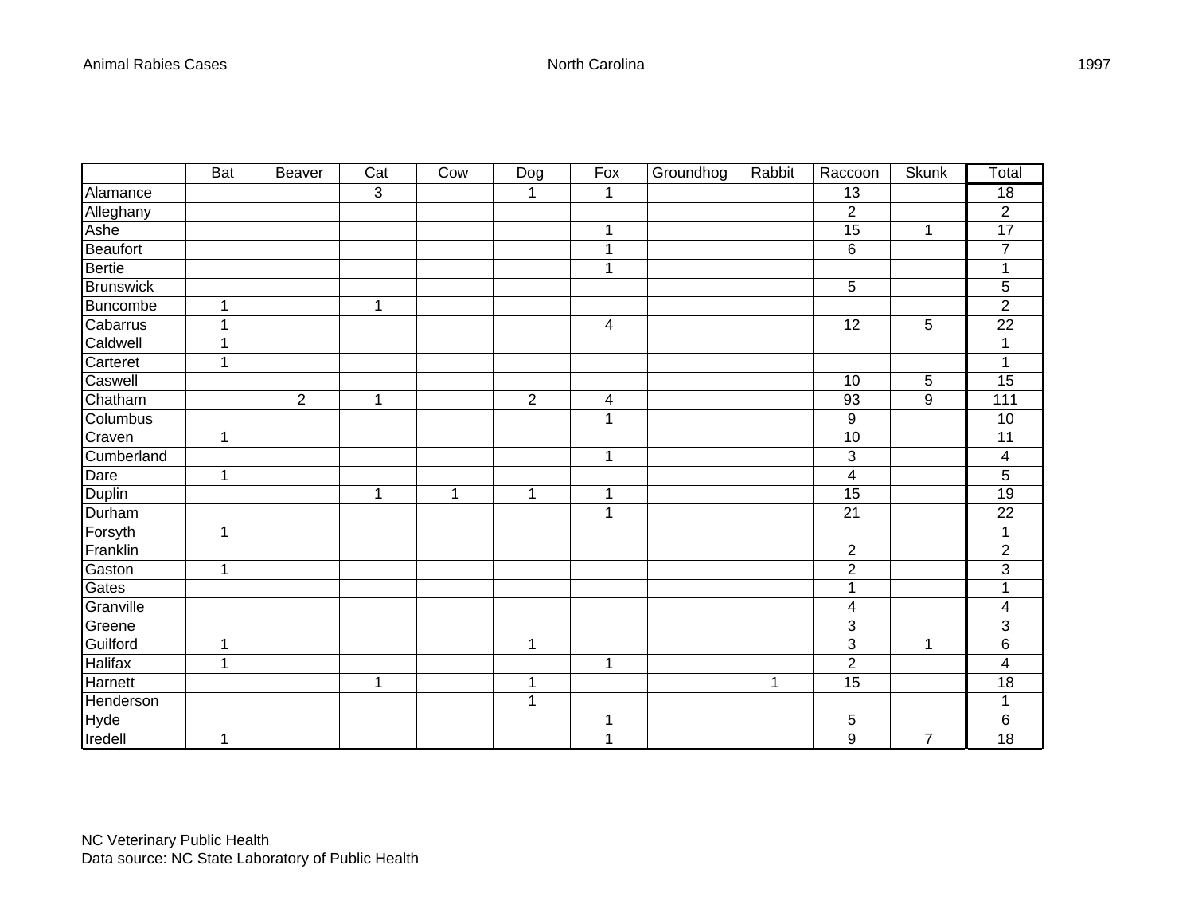|                  | <b>Bat</b>   | Beaver         | Cat | Cow | Dog            | Fox | Groundhog | Rabbit | Raccoon        | <b>Skunk</b>     | Total           |
|------------------|--------------|----------------|-----|-----|----------------|-----|-----------|--------|----------------|------------------|-----------------|
| Alamance         |              |                | 3   |     |                | 1   |           |        | 13             |                  | $\overline{18}$ |
| Alleghany        |              |                |     |     |                |     |           |        | $\overline{c}$ |                  | $\mathbf{2}$    |
| Ashe             |              |                |     |     |                | 1   |           |        | 15             | 1                | 17              |
| Beaufort         |              |                |     |     |                |     |           |        | 6              |                  | $\overline{7}$  |
| <b>Bertie</b>    |              |                |     |     |                | 1   |           |        |                |                  | 1               |
| <b>Brunswick</b> |              |                |     |     |                |     |           |        | 5              |                  | 5               |
| Buncombe         |              |                | 1   |     |                |     |           |        |                |                  | $\overline{2}$  |
| Cabarrus         |              |                |     |     |                | 4   |           |        | 12             | 5                | $\overline{22}$ |
| Caldwell         |              |                |     |     |                |     |           |        |                |                  | 1               |
| Carteret         | 4            |                |     |     |                |     |           |        |                |                  | 1               |
| Caswell          |              |                |     |     |                |     |           |        | 10             | 5                | 15              |
| Chatham          |              | $\overline{2}$ | 1   |     | $\overline{2}$ | 4   |           |        | 93             | $\boldsymbol{9}$ | 111             |
| Columbus         |              |                |     |     |                | 1   |           |        | 9              |                  | 10              |
| Craven           | 1            |                |     |     |                |     |           |        | 10             |                  | 11              |
| Cumberland       |              |                |     |     |                | 1   |           |        | 3              |                  | 4               |
| Dare             | 1            |                |     |     |                |     |           |        | 4              |                  | 5               |
| Duplin           |              |                | 1   | 1   | 1              | 1   |           |        | 15             |                  | $\overline{19}$ |
| Durham           |              |                |     |     |                | 1   |           |        | 21             |                  | 22              |
| Forsyth          | 1            |                |     |     |                |     |           |        |                |                  | 1               |
| Franklin         |              |                |     |     |                |     |           |        | $\overline{2}$ |                  | $\overline{2}$  |
| Gaston           | $\mathbf{1}$ |                |     |     |                |     |           |        | $\overline{c}$ |                  | $\mathfrak{S}$  |
| Gates            |              |                |     |     |                |     |           |        | 1              |                  | 1               |
| Granville        |              |                |     |     |                |     |           |        | 4              |                  | 4               |
| Greene           |              |                |     |     |                |     |           |        | 3              |                  | 3               |
| Guilford         | 1            |                |     |     | 1              |     |           |        | 3              | 1                | $\,6$           |
| Halifax          | 1            |                |     |     |                | 1   |           |        | $\overline{2}$ |                  | $\overline{4}$  |
| Harnett          |              |                | 1   |     | 1              |     |           | 1      | 15             |                  | 18              |
| Henderson        |              |                |     |     | 1              |     |           |        |                |                  | 1               |
| Hyde             |              |                |     |     |                | 1   |           |        | 5              |                  | $\,6$           |
| Iredell          | 1            |                |     |     |                | 1   |           |        | 9              | $\overline{7}$   | $\overline{18}$ |

1997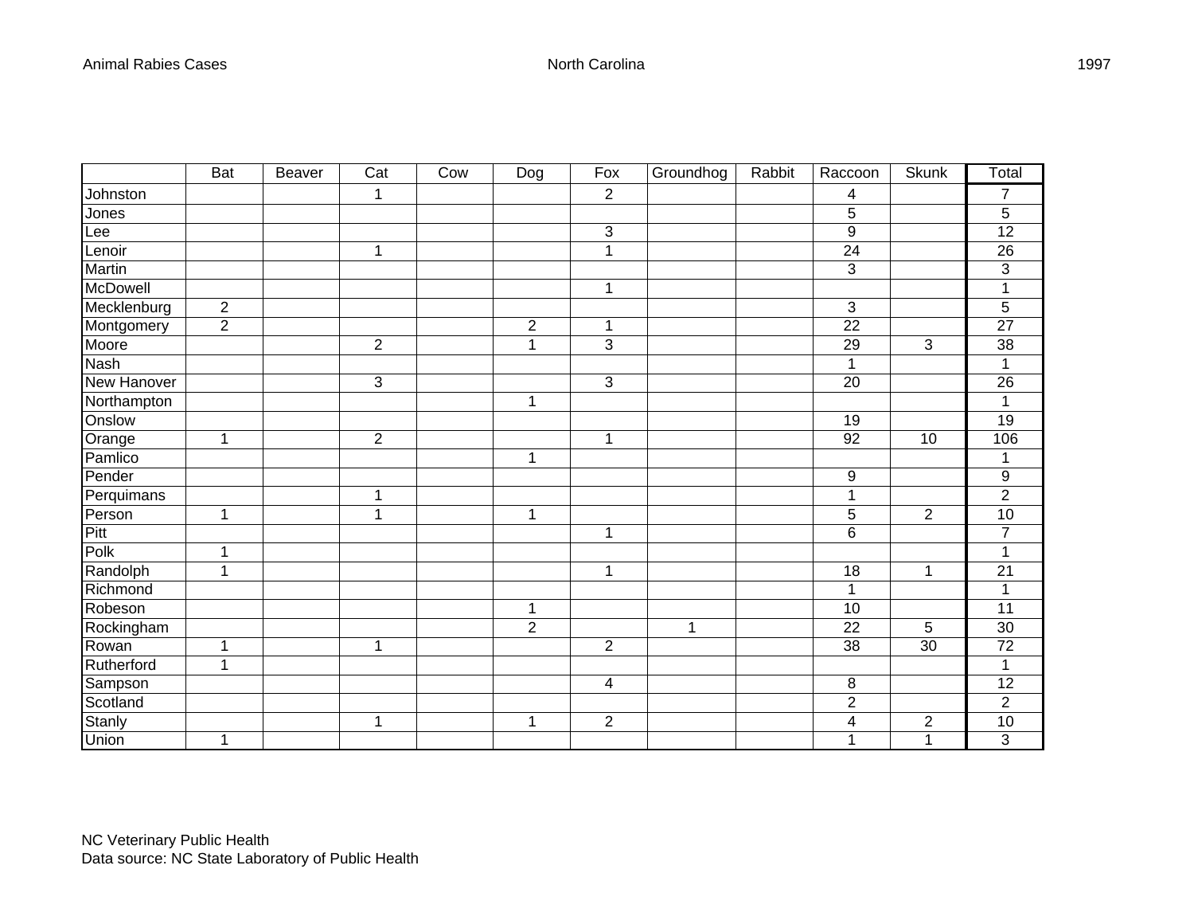|             | <b>Bat</b>     | <b>Beaver</b> | Cat            | Cow | $\overline{Dog}$ | Fox            | Groundhog | Rabbit | Raccoon         | <b>Skunk</b>   | Total           |
|-------------|----------------|---------------|----------------|-----|------------------|----------------|-----------|--------|-----------------|----------------|-----------------|
| Johnston    |                |               | $\mathbf 1$    |     |                  | $\overline{2}$ |           |        | 4               |                | $\overline{7}$  |
| Jones       |                |               |                |     |                  |                |           |        | 5               |                | $\overline{5}$  |
| Lee         |                |               |                |     |                  | 3              |           |        | 9               |                | 12              |
| Lenoir      |                |               | 1              |     |                  | 1              |           |        | $\overline{24}$ |                | 26              |
| Martin      |                |               |                |     |                  |                |           |        | 3               |                | $\overline{3}$  |
| McDowell    |                |               |                |     |                  | 1              |           |        |                 |                | $\mathbf{1}$    |
| Mecklenburg | $\overline{2}$ |               |                |     |                  |                |           |        | 3               |                | 5               |
| Montgomery  | $\overline{2}$ |               |                |     | $\overline{2}$   | 1              |           |        | 22              |                | 27              |
| Moore       |                |               | $\overline{2}$ |     | 1                | 3              |           |        | 29              | $\mathbf{3}$   | 38              |
| <b>Nash</b> |                |               |                |     |                  |                |           |        | $\mathbf{1}$    |                | $\mathbf{1}$    |
| New Hanover |                |               | 3              |     |                  | 3              |           |        | 20              |                | 26              |
| Northampton |                |               |                |     | 1                |                |           |        |                 |                | 1               |
| Onslow      |                |               |                |     |                  |                |           |        | 19              |                | 19              |
| Orange      | 1              |               | $\overline{2}$ |     |                  | 1              |           |        | 92              | 10             | 106             |
| Pamlico     |                |               |                |     | 1                |                |           |        |                 |                | $\mathbf{1}$    |
| Pender      |                |               |                |     |                  |                |           |        | 9               |                | 9               |
| Perquimans  |                |               | 1              |     |                  |                |           |        | 1               |                | $\overline{2}$  |
| Person      | $\mathbf{1}$   |               | 1              |     | 1                |                |           |        | 5               | $\overline{2}$ | 10              |
| Pitt        |                |               |                |     |                  | 1              |           |        | 6               |                | $\overline{7}$  |
| Polk        | 1              |               |                |     |                  |                |           |        |                 |                | $\overline{1}$  |
| Randolph    | 1              |               |                |     |                  | 1              |           |        | 18              | 1              | 21              |
| Richmond    |                |               |                |     |                  |                |           |        | 1               |                | 1               |
| Robeson     |                |               |                |     | 1                |                |           |        | 10              |                | $\overline{11}$ |
| Rockingham  |                |               |                |     | $\mathbf{2}$     |                | 1         |        | 22              | 5              | 30              |
| Rowan       | 1              |               | $\mathbf{1}$   |     |                  | $\overline{2}$ |           |        | 38              | 30             | $\overline{72}$ |
| Rutherford  | $\mathbf{1}$   |               |                |     |                  |                |           |        |                 |                | $\mathbf{1}$    |
| Sampson     |                |               |                |     |                  | 4              |           |        | $\bf 8$         |                | $\overline{12}$ |
| Scotland    |                |               |                |     |                  |                |           |        | $\mathbf 2$     |                | $\overline{2}$  |
| Stanly      |                |               | 1              |     | 1                | $\overline{c}$ |           |        | 4               | $\overline{c}$ | 10              |
| Union       | 1              |               |                |     |                  |                |           |        | 1               | $\mathbf{1}$   | $\overline{3}$  |